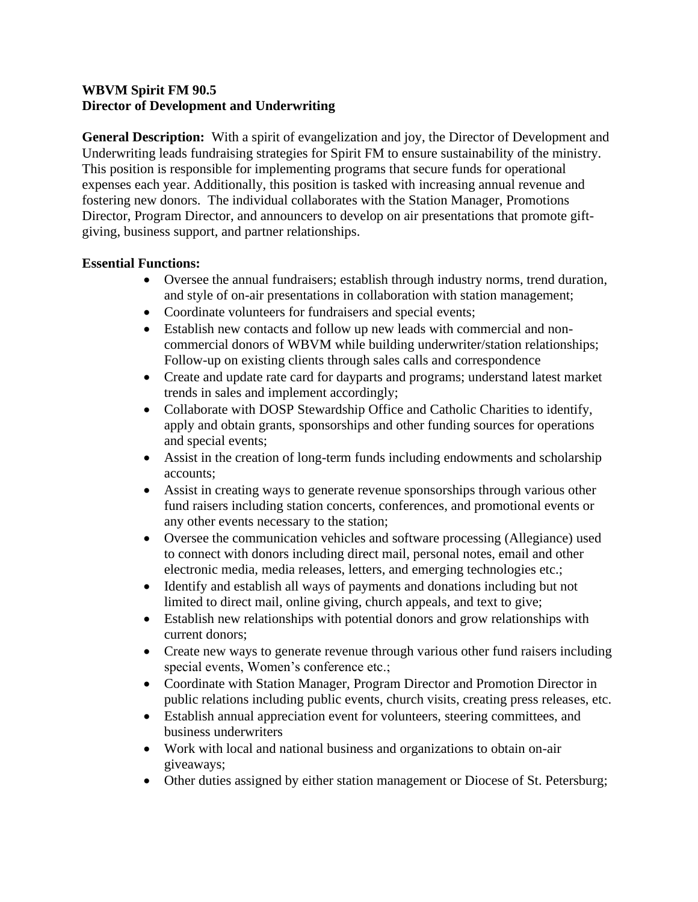## **WBVM Spirit FM 90.5 Director of Development and Underwriting**

**General Description:** With a spirit of evangelization and joy, the Director of Development and Underwriting leads fundraising strategies for Spirit FM to ensure sustainability of the ministry. This position is responsible for implementing programs that secure funds for operational expenses each year. Additionally, this position is tasked with increasing annual revenue and fostering new donors. The individual collaborates with the Station Manager, Promotions Director, Program Director, and announcers to develop on air presentations that promote giftgiving, business support, and partner relationships.

## **Essential Functions:**

- Oversee the annual fundraisers; establish through industry norms, trend duration, and style of on-air presentations in collaboration with station management;
- Coordinate volunteers for fundraisers and special events;
- Establish new contacts and follow up new leads with commercial and noncommercial donors of WBVM while building underwriter/station relationships; Follow-up on existing clients through sales calls and correspondence
- Create and update rate card for dayparts and programs; understand latest market trends in sales and implement accordingly;
- Collaborate with DOSP Stewardship Office and Catholic Charities to identify, apply and obtain grants, sponsorships and other funding sources for operations and special events;
- Assist in the creation of long-term funds including endowments and scholarship accounts;
- Assist in creating ways to generate revenue sponsorships through various other fund raisers including station concerts, conferences, and promotional events or any other events necessary to the station;
- Oversee the communication vehicles and software processing (Allegiance) used to connect with donors including direct mail, personal notes, email and other electronic media, media releases, letters, and emerging technologies etc.;
- Identify and establish all ways of payments and donations including but not limited to direct mail, online giving, church appeals, and text to give;
- Establish new relationships with potential donors and grow relationships with current donors;
- Create new ways to generate revenue through various other fund raisers including special events, Women's conference etc.;
- Coordinate with Station Manager, Program Director and Promotion Director in public relations including public events, church visits, creating press releases, etc.
- Establish annual appreciation event for volunteers, steering committees, and business underwriters
- Work with local and national business and organizations to obtain on-air giveaways;
- Other duties assigned by either station management or Diocese of St. Petersburg;